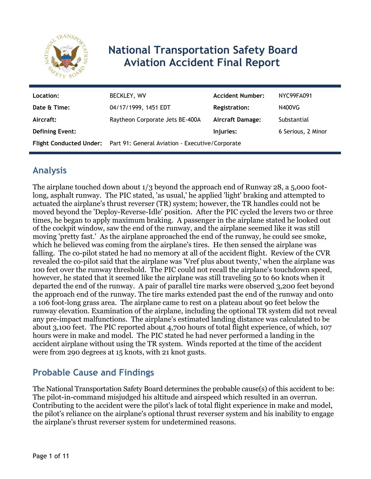

# **National Transportation Safety Board Aviation Accident Final Report**

| Location:              | BECKLEY, WV                                                             | <b>Accident Number:</b> | NYC99FA091         |
|------------------------|-------------------------------------------------------------------------|-------------------------|--------------------|
| Date & Time:           | 04/17/1999, 1451 EDT                                                    | <b>Registration:</b>    | N400VG             |
| Aircraft:              | Raytheon Corporate Jets BE-400A                                         | <b>Aircraft Damage:</b> | Substantial        |
| <b>Defining Event:</b> |                                                                         | Injuries:               | 6 Serious, 2 Minor |
|                        | Flight Conducted Under: Part 91: General Aviation - Executive/Corporate |                         |                    |

# **Analysis**

The airplane touched down about 1/3 beyond the approach end of Runway 28, a 5,000 footlong, asphalt runway. The PIC stated, 'as usual,' he applied 'light' braking and attempted to actuated the airplane's thrust reverser (TR) system; however, the TR handles could not be moved beyond the 'Deploy-Reverse-Idle' position. After the PIC cycled the levers two or three times, he began to apply maximum braking. A passenger in the airplane stated he looked out of the cockpit window, saw the end of the runway, and the airplane seemed like it was still moving 'pretty fast.' As the airplane approached the end of the runway, he could see smoke, which he believed was coming from the airplane's tires. He then sensed the airplane was falling. The co-pilot stated he had no memory at all of the accident flight. Review of the CVR revealed the co-pilot said that the airplane was 'Vref plus about twenty,' when the airplane was 100 feet over the runway threshold. The PIC could not recall the airplane's touchdown speed, however, he stated that it seemed like the airplane was still traveling 50 to 60 knots when it departed the end of the runway. A pair of parallel tire marks were observed 3,200 feet beyond the approach end of the runway. The tire marks extended past the end of the runway and onto a 106 foot-long grass area. The airplane came to rest on a plateau about 90 feet below the runway elevation. Examination of the airplane, including the optional TR system did not reveal any pre-impact malfunctions. The airplane's estimated landing distance was calculated to be about 3,100 feet. The PIC reported about 4,700 hours of total flight experience, of which, 107 hours were in make and model. The PIC stated he had never performed a landing in the accident airplane without using the TR system. Winds reported at the time of the accident were from 290 degrees at 15 knots, with 21 knot gusts.

# **Probable Cause and Findings**

The National Transportation Safety Board determines the probable cause(s) of this accident to be: The pilot-in-command misjudged his altitude and airspeed which resulted in an overrun. Contributing to the accident were the pilot's lack of total flight experience in make and model, the pilot's reliance on the airplane's optional thrust reverser system and his inability to engage the airplane's thrust reverser system for undetermined reasons.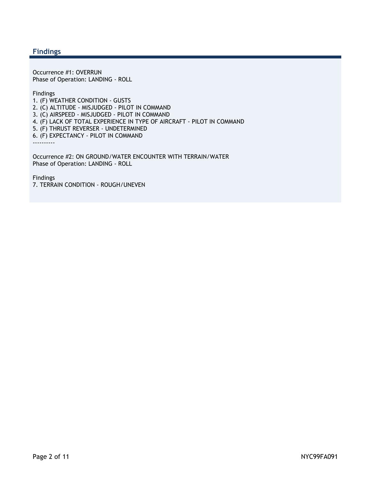#### **Findings**

Occurrence #1: OVERRUN Phase of Operation: LANDING - ROLL

Findings

1. (F) WEATHER CONDITION - GUSTS 2. (C) ALTITUDE - MISJUDGED - PILOT IN COMMAND 3. (C) AIRSPEED - MISJUDGED - PILOT IN COMMAND 4. (F) LACK OF TOTAL EXPERIENCE IN TYPE OF AIRCRAFT - PILOT IN COMMAND 5. (F) THRUST REVERSER - UNDETERMINED 6. (F) EXPECTANCY - PILOT IN COMMAND ---------- Occurrence #2: ON GROUND/WATER ENCOUNTER WITH TERRAIN/WATER

Phase of Operation: LANDING - ROLL

Findings 7. TERRAIN CONDITION - ROUGH/UNEVEN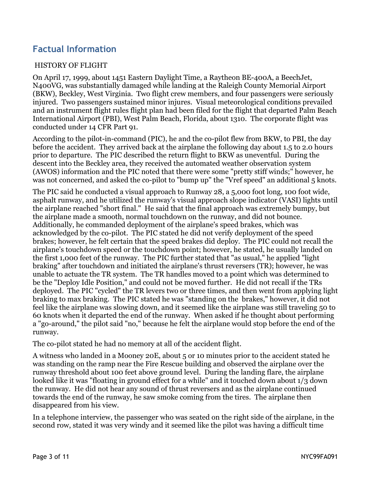### **Factual Information**

#### HISTORY OF FLIGHT

On April 17, 1999, about 1451 Eastern Daylight Time, a Raytheon BE-400A, a BeechJet, N400VG, was substantially damaged while landing at the Raleigh County Memorial Airport (BKW), Beckley, West Virginia. Two flight crew members, and four passengers were seriously injured. Two passengers sustained minor injures. Visual meteorological conditions prevailed and an instrument flight rules flight plan had been filed for the flight that departed Palm Beach International Airport (PBI), West Palm Beach, Florida, about 1310. The corporate flight was conducted under 14 CFR Part 91.

According to the pilot-in-command (PIC), he and the co-pilot flew from BKW, to PBI, the day before the accident. They arrived back at the airplane the following day about 1.5 to 2.0 hours prior to departure. The PIC described the return flight to BKW as uneventful. During the descent into the Beckley area, they received the automated weather observation system (AWOS) information and the PIC noted that there were some "pretty stiff winds;" however, he was not concerned, and asked the co-pilot to "bump up" the "Vref speed" an additional 5 knots.

The PIC said he conducted a visual approach to Runway 28, a 5,000 foot long, 100 foot wide, asphalt runway, and he utilized the runway's visual approach slope indicator (VASI) lights until the airplane reached "short final." He said that the final approach was extremely bumpy, but the airplane made a smooth, normal touchdown on the runway, and did not bounce. Additionally, he commanded deployment of the airplane's speed brakes, which was acknowledged by the co-pilot. The PIC stated he did not verify deployment of the speed brakes; however, he felt certain that the speed brakes did deploy. The PIC could not recall the airplane's touchdown speed or the touchdown point; however, he stated, he usually landed on the first 1,000 feet of the runway. The PIC further stated that "as usual," he applied "light braking" after touchdown and initiated the airplane's thrust reversers (TR); however, he was unable to actuate the TR system. The TR handles moved to a point which was determined to be the "Deploy Idle Position," and could not be moved further. He did not recall if the TRs deployed. The PIC "cycled" the TR levers two or three times, and then went from applying light braking to max braking. The PIC stated he was "standing on the brakes," however, it did not feel like the airplane was slowing down, and it seemed like the airplane was still traveling 50 to 60 knots when it departed the end of the runway. When asked if he thought about performing a "go-around," the pilot said "no," because he felt the airplane would stop before the end of the runway.

The co-pilot stated he had no memory at all of the accident flight.

A witness who landed in a Mooney 20E, about 5 or 10 minutes prior to the accident stated he was standing on the ramp near the Fire Rescue building and observed the airplane over the runway threshold about 100 feet above ground level. During the landing flare, the airplane looked like it was "floating in ground effect for a while" and it touched down about 1/3 down the runway. He did not hear any sound of thrust reversers and as the airplane continued towards the end of the runway, he saw smoke coming from the tires. The airplane then disappeared from his view.

In a telephone interview, the passenger who was seated on the right side of the airplane, in the second row, stated it was very windy and it seemed like the pilot was having a difficult time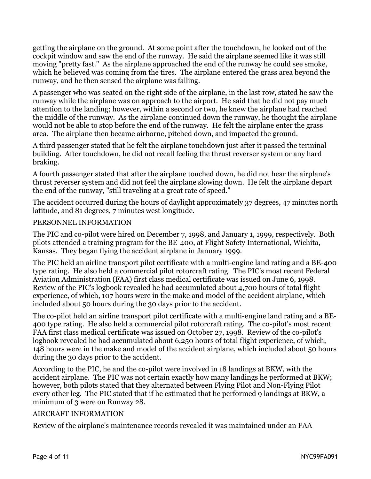getting the airplane on the ground. At some point after the touchdown, he looked out of the cockpit window and saw the end of the runway. He said the airplane seemed like it was still moving "pretty fast." As the airplane approached the end of the runway he could see smoke, which he believed was coming from the tires. The airplane entered the grass area beyond the runway, and he then sensed the airplane was falling.

A passenger who was seated on the right side of the airplane, in the last row, stated he saw the runway while the airplane was on approach to the airport. He said that he did not pay much attention to the landing; however, within a second or two, he knew the airplane had reached the middle of the runway. As the airplane continued down the runway, he thought the airplane would not be able to stop before the end of the runway. He felt the airplane enter the grass area. The airplane then became airborne, pitched down, and impacted the ground.

A third passenger stated that he felt the airplane touchdown just after it passed the terminal building. After touchdown, he did not recall feeling the thrust reverser system or any hard braking.

A fourth passenger stated that after the airplane touched down, he did not hear the airplane's thrust reverser system and did not feel the airplane slowing down. He felt the airplane depart the end of the runway, "still traveling at a great rate of speed."

The accident occurred during the hours of daylight approximately 37 degrees, 47 minutes north latitude, and 81 degrees, 7 minutes west longitude.

#### PERSONNEL INFORMATION

The PIC and co-pilot were hired on December 7, 1998, and January 1, 1999, respectively. Both pilots attended a training program for the BE-400, at Flight Safety International, Wichita, Kansas. They began flying the accident airplane in January 1999.

The PIC held an airline transport pilot certificate with a multi-engine land rating and a BE-400 type rating. He also held a commercial pilot rotorcraft rating. The PIC's most recent Federal Aviation Administration (FAA) first class medical certificate was issued on June 6, 1998. Review of the PIC's logbook revealed he had accumulated about 4,700 hours of total flight experience, of which, 107 hours were in the make and model of the accident airplane, which included about 50 hours during the 30 days prior to the accident.

The co-pilot held an airline transport pilot certificate with a multi-engine land rating and a BE-400 type rating. He also held a commercial pilot rotorcraft rating. The co-pilot's most recent FAA first class medical certificate was issued on October 27, 1998. Review of the co-pilot's logbook revealed he had accumulated about 6,250 hours of total flight experience, of which, 148 hours were in the make and model of the accident airplane, which included about 50 hours during the 30 days prior to the accident.

According to the PIC, he and the co-pilot were involved in 18 landings at BKW, with the accident airplane. The PIC was not certain exactly how many landings he performed at BKW; however, both pilots stated that they alternated between Flying Pilot and Non-Flying Pilot every other leg. The PIC stated that if he estimated that he performed 9 landings at BKW, a minimum of 3 were on Runway 28.

#### AIRCRAFT INFORMATION

Review of the airplane's maintenance records revealed it was maintained under an FAA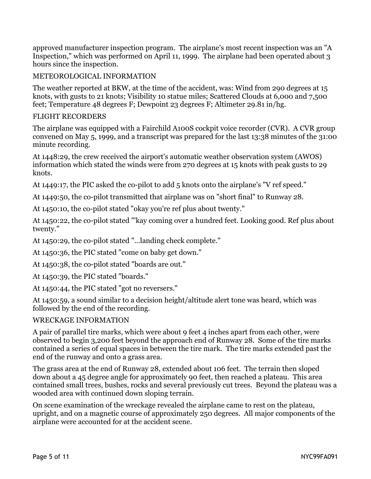approved manufacturer inspection program. The airplane's most recent inspection was an "A Inspection," which was performed on April 11, 1999. The airplane had been operated about 3 hours since the inspection.

#### METEOROLOGICAL INFORMATION

The weather reported at BKW, at the time of the accident, was: Wind from 290 degrees at 15 knots, with gusts to 21 knots; Visibility 10 statue miles; Scattered Clouds at 6,000 and 7,500 feet; Temperature 48 degrees F; Dewpoint 23 degrees F; Altimeter 29.81 in/hg.

#### FLIGHT RECORDERS

The airplane was equipped with a Fairchild A100S cockpit voice recorder (CVR). A CVR group convened on May 5, 1999, and a transcript was prepared for the last 13:38 minutes of the 31:00 minute recording.

At 1448:29, the crew received the airport's automatic weather observation system (AWOS) information which stated the winds were from 270 degrees at 15 knots with peak gusts to 29 knots.

At 1449:17, the PIC asked the co-pilot to add 5 knots onto the airplane's "V ref speed."

At 1449:50, the co-pilot transmitted that airplane was on "short final" to Runway 28.

At 1450:10, the co-pilot stated "okay you're ref plus about twenty."

At 1450:22, the co-pilot stated "'kay coming over a hundred feet. Looking good. Ref plus about twenty."

At 1450:29, the co-pilot stated "...landing check complete."

At 1450:36, the PIC stated "come on baby get down."

At 1450:38, the co-pilot stated "boards are out."

At 1450:39, the PIC stated "boards."

At 1450:44, the PIC stated "got no reversers."

At 1450:59, a sound similar to a decision height/altitude alert tone was heard, which was followed by the end of the recording.

#### WRECKAGE INFORMATION

A pair of parallel tire marks, which were about 9 feet 4 inches apart from each other, were observed to begin 3,200 feet beyond the approach end of Runway 28. Some of the tire marks contained a series of equal spaces in between the tire mark. The tire marks extended past the end of the runway and onto a grass area.

The grass area at the end of Runway 28, extended about 106 feet. The terrain then sloped down about a 45 degree angle for approximately 90 feet, then reached a plateau. This area contained small trees, bushes, rocks and several previously cut trees. Beyond the plateau was a wooded area with continued down sloping terrain.

On scene examination of the wreckage revealed the airplane came to rest on the plateau, upright, and on a magnetic course of approximately 250 degrees. All major components of the airplane were accounted for at the accident scene.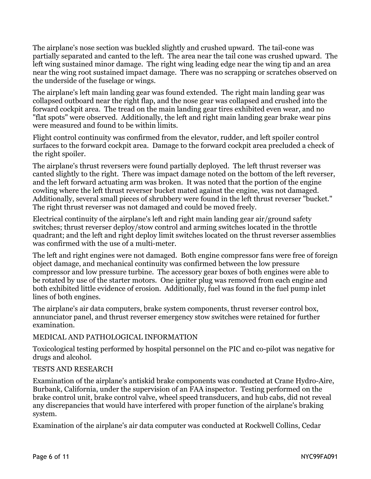The airplane's nose section was buckled slightly and crushed upward. The tail-cone was partially separated and canted to the left. The area near the tail cone was crushed upward. The left wing sustained minor damage. The right wing leading edge near the wing tip and an area near the wing root sustained impact damage. There was no scrapping or scratches observed on the underside of the fuselage or wings.

The airplane's left main landing gear was found extended. The right main landing gear was collapsed outboard near the right flap, and the nose gear was collapsed and crushed into the forward cockpit area. The tread on the main landing gear tires exhibited even wear, and no "flat spots" were observed. Additionally, the left and right main landing gear brake wear pins were measured and found to be within limits.

Flight control continuity was confirmed from the elevator, rudder, and left spoiler control surfaces to the forward cockpit area. Damage to the forward cockpit area precluded a check of the right spoiler.

The airplane's thrust reversers were found partially deployed. The left thrust reverser was canted slightly to the right. There was impact damage noted on the bottom of the left reverser, and the left forward actuating arm was broken. It was noted that the portion of the engine cowling where the left thrust reverser bucket mated against the engine, was not damaged. Additionally, several small pieces of shrubbery were found in the left thrust reverser "bucket." The right thrust reverser was not damaged and could be moved freely.

Electrical continuity of the airplane's left and right main landing gear air/ground safety switches; thrust reverser deploy/stow control and arming switches located in the throttle quadrant; and the left and right deploy limit switches located on the thrust reverser assemblies was confirmed with the use of a multi-meter.

The left and right engines were not damaged. Both engine compressor fans were free of foreign object damage, and mechanical continuity was confirmed between the low pressure compressor and low pressure turbine. The accessory gear boxes of both engines were able to be rotated by use of the starter motors. One igniter plug was removed from each engine and both exhibited little evidence of erosion. Additionally, fuel was found in the fuel pump inlet lines of both engines.

The airplane's air data computers, brake system components, thrust reverser control box, annunciator panel, and thrust reverser emergency stow switches were retained for further examination.

#### MEDICAL AND PATHOLOGICAL INFORMATION

Toxicological testing performed by hospital personnel on the PIC and co-pilot was negative for drugs and alcohol.

#### TESTS AND RESEARCH

Examination of the airplane's antiskid brake components was conducted at Crane Hydro-Aire, Burbank, California, under the supervision of an FAA inspector. Testing performed on the brake control unit, brake control valve, wheel speed transducers, and hub cabs, did not reveal any discrepancies that would have interfered with proper function of the airplane's braking system.

Examination of the airplane's air data computer was conducted at Rockwell Collins, Cedar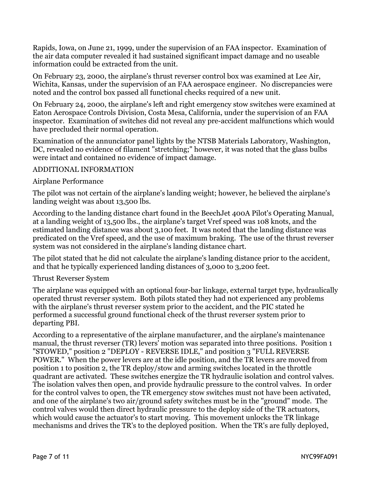Rapids, Iowa, on June 21, 1999, under the supervision of an FAA inspector. Examination of the air data computer revealed it had sustained significant impact damage and no useable information could be extracted from the unit.

On February 23, 2000, the airplane's thrust reverser control box was examined at Lee Air, Wichita, Kansas, under the supervision of an FAA aerospace engineer. No discrepancies were noted and the control box passed all functional checks required of a new unit.

On February 24, 2000, the airplane's left and right emergency stow switches were examined at Eaton Aerospace Controls Division, Costa Mesa, California, under the supervision of an FAA inspector. Examination of switches did not reveal any pre-accident malfunctions which would have precluded their normal operation.

Examination of the annunciator panel lights by the NTSB Materials Laboratory, Washington, DC, revealed no evidence of filament "stretching;" however, it was noted that the glass bulbs were intact and contained no evidence of impact damage.

#### ADDITIONAL INFORMATION

#### Airplane Performance

The pilot was not certain of the airplane's landing weight; however, he believed the airplane's landing weight was about 13,500 lbs.

According to the landing distance chart found in the BeechJet 400A Pilot's Operating Manual, at a landing weight of 13,500 lbs., the airplane's target Vref speed was 108 knots, and the estimated landing distance was about 3,100 feet. It was noted that the landing distance was predicated on the Vref speed, and the use of maximum braking. The use of the thrust reverser system was not considered in the airplane's landing distance chart.

The pilot stated that he did not calculate the airplane's landing distance prior to the accident, and that he typically experienced landing distances of 3,000 to 3,200 feet.

#### Thrust Reverser System

The airplane was equipped with an optional four-bar linkage, external target type, hydraulically operated thrust reverser system. Both pilots stated they had not experienced any problems with the airplane's thrust reverser system prior to the accident, and the PIC stated he performed a successful ground functional check of the thrust reverser system prior to departing PBI.

According to a representative of the airplane manufacturer, and the airplane's maintenance manual, the thrust reverser (TR) levers' motion was separated into three positions. Position 1 "STOWED," position 2 "DEPLOY - REVERSE IDLE," and position 3 "FULL REVERSE POWER." When the power levers are at the idle position, and the TR levers are moved from position 1 to position 2, the TR deploy/stow and arming switches located in the throttle quadrant are activated. These switches energize the TR hydraulic isolation and control valves. The isolation valves then open, and provide hydraulic pressure to the control valves. In order for the control valves to open, the TR emergency stow switches must not have been activated, and one of the airplane's two air/ground safety switches must be in the "ground" mode. The control valves would then direct hydraulic pressure to the deploy side of the TR actuators, which would cause the actuator's to start moving. This movement unlocks the TR linkage mechanisms and drives the TR's to the deployed position. When the TR's are fully deployed,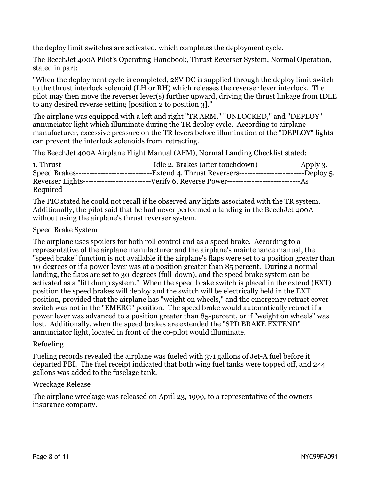the deploy limit switches are activated, which completes the deployment cycle.

The BeechJet 400A Pilot's Operating Handbook, Thrust Reverser System, Normal Operation, stated in part:

"When the deployment cycle is completed, 28V DC is supplied through the deploy limit switch to the thrust interlock solenoid (LH or RH) which releases the reverser lever interlock. The pilot may then move the reverser lever(s) further upward, driving the thrust linkage from IDLE to any desired reverse setting [position 2 to position 3]."

The airplane was equipped with a left and right "TR ARM," "UNLOCKED," and "DEPLOY" annunciator light which illuminate during the TR deploy cycle. According to airplane manufacturer, excessive pressure on the TR levers before illumination of the "DEPLOY" lights can prevent the interlock solenoids from retracting.

The BeechJet 400A Airplane Flight Manual (AFM), Normal Landing Checklist stated:

|          | Speed Brakes------------------------------Extend 4. Thrust Reversers---------------------------Deploy 5. |  |
|----------|----------------------------------------------------------------------------------------------------------|--|
|          |                                                                                                          |  |
| Required |                                                                                                          |  |

The PIC stated he could not recall if he observed any lights associated with the TR system. Additionally, the pilot said that he had never performed a landing in the BeechJet 400A without using the airplane's thrust reverser system.

#### Speed Brake System

The airplane uses spoilers for both roll control and as a speed brake. According to a representative of the airplane manufacturer and the airplane's maintenance manual, the "speed brake" function is not available if the airplane's flaps were set to a position greater than 10-degrees or if a power lever was at a position greater than 85 percent. During a normal landing, the flaps are set to 30-degrees (full-down), and the speed brake system can be activated as a "lift dump system." When the speed brake switch is placed in the extend (EXT) position the speed brakes will deploy and the switch will be electrically held in the EXT position, provided that the airplane has "weight on wheels," and the emergency retract cover switch was not in the "EMERG" position. The speed brake would automatically retract if a power lever was advanced to a position greater than 85-percent, or if "weight on wheels" was lost. Additionally, when the speed brakes are extended the "SPD BRAKE EXTEND" annunciator light, located in front of the co-pilot would illuminate.

#### Refueling

Fueling records revealed the airplane was fueled with 371 gallons of Jet-A fuel before it departed PBI. The fuel receipt indicated that both wing fuel tanks were topped off, and 244 gallons was added to the fuselage tank.

#### Wreckage Release

The airplane wreckage was released on April 23, 1999, to a representative of the owners insurance company.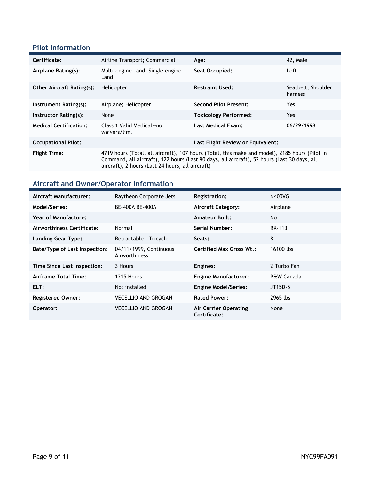### **Pilot Information**

| Certificate:                     | Airline Transport; Commercial                                                                                                                                                                                                                     | Age:                         | 42. Male                      |  |
|----------------------------------|---------------------------------------------------------------------------------------------------------------------------------------------------------------------------------------------------------------------------------------------------|------------------------------|-------------------------------|--|
| Airplane Rating(s):              | Multi-engine Land; Single-engine<br>Land                                                                                                                                                                                                          | Seat Occupied:               | Left                          |  |
| <b>Other Aircraft Rating(s):</b> | Helicopter                                                                                                                                                                                                                                        | <b>Restraint Used:</b>       | Seatbelt, Shoulder<br>harness |  |
| Instrument Rating(s):            | Airplane; Helicopter                                                                                                                                                                                                                              | <b>Second Pilot Present:</b> | Yes                           |  |
| Instructor Rating(s):            | None                                                                                                                                                                                                                                              | <b>Toxicology Performed:</b> | Yes.                          |  |
| <b>Medical Certification:</b>    | Class 1 Valid Medical--no<br>waivers/lim.                                                                                                                                                                                                         | <b>Last Medical Exam:</b>    | 06/29/1998                    |  |
| <b>Occupational Pilot:</b>       | Last Flight Review or Equivalent:                                                                                                                                                                                                                 |                              |                               |  |
| <b>Flight Time:</b>              | 4719 hours (Total, all aircraft), 107 hours (Total, this make and model), 2185 hours (Pilot In<br>Command, all aircraft), 122 hours (Last 90 days, all aircraft), 52 hours (Last 30 days, all<br>aircraft), 2 hours (Last 24 hours, all aircraft) |                              |                               |  |

# **Aircraft and Owner/Operator Information**

| Aircraft Manufacturer:        | Raytheon Corporate Jets                 | <b>Registration:</b>                         | N400VG      |
|-------------------------------|-----------------------------------------|----------------------------------------------|-------------|
| Model/Series:                 | BE-400A BE-400A                         | <b>Aircraft Category:</b>                    | Airplane    |
| Year of Manufacture:          |                                         | <b>Amateur Built:</b>                        | No          |
| Airworthiness Certificate:    | Normal                                  | Serial Number:                               | RK-113      |
| Landing Gear Type:            | Retractable - Tricycle                  | Seats:                                       | 8           |
| Date/Type of Last Inspection: | 04/11/1999, Continuous<br>Airworthiness | <b>Certified Max Gross Wt.:</b>              | 16100 lbs   |
| Time Since Last Inspection:   | 3 Hours                                 | Engines:                                     | 2 Turbo Fan |
| Airframe Total Time:          | 1215 Hours                              | <b>Engine Manufacturer:</b>                  | P&W Canada  |
| ELT:                          | Not installed                           | <b>Engine Model/Series:</b>                  | JT15D-5     |
| <b>Registered Owner:</b>      | <b>VECELLIO AND GROGAN</b>              | <b>Rated Power:</b>                          | 2965 lbs    |
| Operator:                     | <b>VECELLIO AND GROGAN</b>              | <b>Air Carrier Operating</b><br>Certificate: | None        |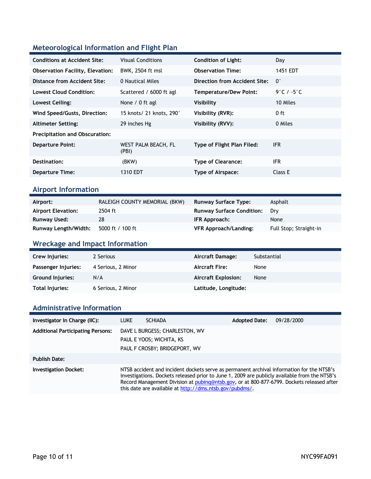### **Meteorological Information and Flight Plan**

| <b>Conditions at Accident Site:</b>     | <b>Visual Conditions</b>     | <b>Condition of Light:</b>    | Day                  |
|-----------------------------------------|------------------------------|-------------------------------|----------------------|
| <b>Observation Facility, Elevation:</b> | BWK, 2504 ft msl             | <b>Observation Time:</b>      | 1451 EDT             |
| Distance from Accident Site:            | 0 Nautical Miles             | Direction from Accident Site: | $\mathbf{0}^{\circ}$ |
| Lowest Cloud Condition:                 | Scattered / 6000 ft agl      | Temperature/Dew Point:        | 9°C / -5°C           |
| Lowest Ceiling:                         | None / 0 ft agl              | Visibility                    | 10 Miles             |
| Wind Speed/Gusts, Direction:            | 15 knots/ 21 knots, 290°     | Visibility (RVR):             | $0$ ft               |
| <b>Altimeter Setting:</b>               | 29 inches Hg                 | Visibility (RVV):             | 0 Miles              |
| <b>Precipitation and Obscuration:</b>   |                              |                               |                      |
| <b>Departure Point:</b>                 | WEST PALM BEACH, FL<br>(PBI) | Type of Flight Plan Filed:    | IFR.                 |
| Destination:                            | (BKW)                        | <b>Type of Clearance:</b>     | <b>IFR</b>           |
| <b>Departure Time:</b>                  | 1310 EDT                     | <b>Type of Airspace:</b>      | Class E              |

# **Airport Information**

| Airport:                  | RALEIGH COUNTY MEMORIAL (BKW) | <b>Runway Surface Type:</b>      | Asphalt                |
|---------------------------|-------------------------------|----------------------------------|------------------------|
| <b>Airport Elevation:</b> | 2504 ft                       | <b>Runway Surface Condition:</b> | Drv                    |
| Runway Used:              | 28                            | IFR Approach:                    | None                   |
| Runway Length/Width:      | 5000 ft / 100 ft              | VFR Approach/Landing:            | Full Stop; Straight-in |

### **Wreckage and Impact Information**

| Crew Injuries:          | 2 Serious          | Aircraft Damage:           | Substantial |
|-------------------------|--------------------|----------------------------|-------------|
| Passenger Injuries:     | 4 Serious, 2 Minor | <b>Aircraft Fire:</b>      | None        |
| <b>Ground Injuries:</b> | N/A                | <b>Aircraft Explosion:</b> | None        |
| Total Injuries:         | 6 Serious, 2 Minor | Latitude, Longitude:       |             |

### **Administrative Information**

| Investigator In Charge (IIC):            | <b>LUKE</b>                                                                                                                                                                                                                                                                                                                                        | <b>SCHIADA</b>                                                                              | <b>Adopted Date:</b> | 09/28/2000 |
|------------------------------------------|----------------------------------------------------------------------------------------------------------------------------------------------------------------------------------------------------------------------------------------------------------------------------------------------------------------------------------------------------|---------------------------------------------------------------------------------------------|----------------------|------------|
| <b>Additional Participating Persons:</b> |                                                                                                                                                                                                                                                                                                                                                    | DAVE L BURGESS; CHARLESTON, WV<br>PAUL E YOOS; WICHITA, KS<br>PAUL F CROSBY; BRIDGEPORT, WV |                      |            |
| <b>Publish Date:</b>                     |                                                                                                                                                                                                                                                                                                                                                    |                                                                                             |                      |            |
| <b>Investigation Docket:</b>             | NTSB accident and incident dockets serve as permanent archival information for the NTSB's<br>investigations. Dockets released prior to June 1, 2009 are publicly available from the NTSB's<br>Record Management Division at pubing@ntsb.gov, or at 800-877-6799. Dockets released after<br>this date are available at http://dms.ntsb.gov/pubdms/. |                                                                                             |                      |            |